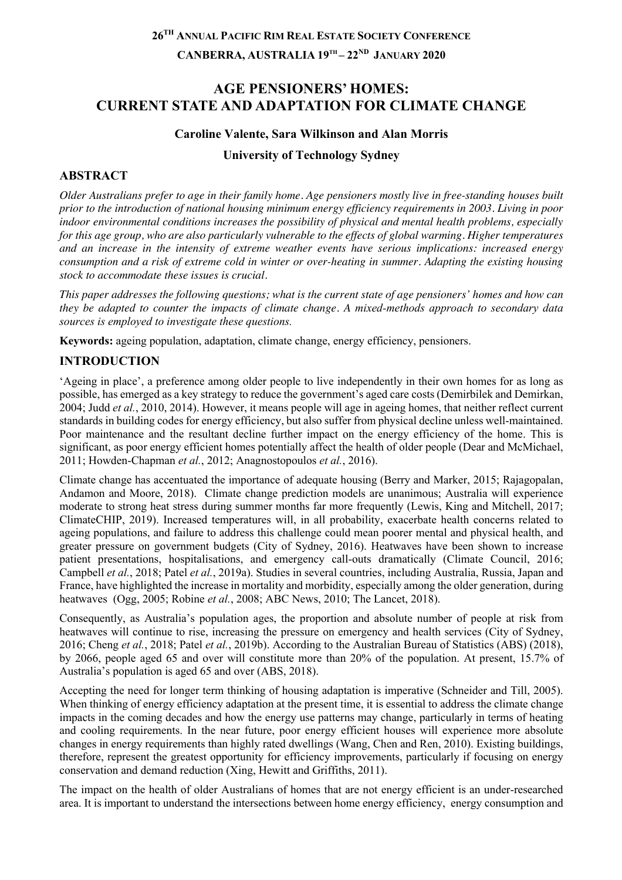# **26TH ANNUAL PACIFIC RIM REAL ESTATE SOCIETY CONFERENCE CANBERRA, AUSTRALIA 19TH – 22ND JANUARY 2020**

# **AGE PENSIONERS' HOMES: CURRENT STATE AND ADAPTATION FOR CLIMATE CHANGE**

### **Caroline Valente, Sara Wilkinson and Alan Morris**

### **University of Technology Sydney**

### **ABSTRACT**

*Older Australians prefer to age in their family home. Age pensioners mostly live in free-standing houses built prior to the introduction of national housing minimum energy efficiency requirements in 2003. Living in poor indoor environmental conditions increases the possibility of physical and mental health problems, especially for this age group, who are also particularly vulnerable to the effects of global warming. Higher temperatures and an increase in the intensity of extreme weather events have serious implications: increased energy consumption and a risk of extreme cold in winter or over-heating in summer. Adapting the existing housing stock to accommodate these issues is crucial.*

*This paper addresses the following questions; what is the current state of age pensioners' homes and how can they be adapted to counter the impacts of climate change. A mixed-methods approach to secondary data sources is employed to investigate these questions.*

**Keywords:** ageing population, adaptation, climate change, energy efficiency, pensioners.

# **INTRODUCTION**

'Ageing in place', a preference among older people to live independently in their own homes for as long as possible, has emerged as a key strategy to reduce the government's aged care costs (Demirbilek and Demirkan, 2004; Judd *et al.*, 2010, 2014). However, it means people will age in ageing homes, that neither reflect current standards in building codes for energy efficiency, but also suffer from physical decline unless well-maintained. Poor maintenance and the resultant decline further impact on the energy efficiency of the home. This is significant, as poor energy efficient homes potentially affect the health of older people (Dear and McMichael, 2011; Howden-Chapman *et al.*, 2012; Anagnostopoulos *et al.*, 2016).

Climate change has accentuated the importance of adequate housing (Berry and Marker, 2015; Rajagopalan, Andamon and Moore, 2018). Climate change prediction models are unanimous; Australia will experience moderate to strong heat stress during summer months far more frequently (Lewis, King and Mitchell, 2017; ClimateCHIP, 2019). Increased temperatures will, in all probability, exacerbate health concerns related to ageing populations, and failure to address this challenge could mean poorer mental and physical health, and greater pressure on government budgets (City of Sydney, 2016). Heatwaves have been shown to increase patient presentations, hospitalisations, and emergency call-outs dramatically (Climate Council, 2016; Campbell *et al.*, 2018; Patel *et al.*, 2019a). Studies in several countries, including Australia, Russia, Japan and France, have highlighted the increase in mortality and morbidity, especially among the older generation, during heatwaves (Ogg, 2005; Robine *et al.*, 2008; ABC News, 2010; The Lancet, 2018).

Consequently, as Australia's population ages, the proportion and absolute number of people at risk from heatwaves will continue to rise, increasing the pressure on emergency and health services (City of Sydney, 2016; Cheng *et al.*, 2018; Patel *et al.*, 2019b). According to the Australian Bureau of Statistics (ABS) (2018), by 2066, people aged 65 and over will constitute more than 20% of the population. At present, 15.7% of Australia's population is aged 65 and over (ABS, 2018).

Accepting the need for longer term thinking of housing adaptation is imperative (Schneider and Till, 2005). When thinking of energy efficiency adaptation at the present time, it is essential to address the climate change impacts in the coming decades and how the energy use patterns may change, particularly in terms of heating and cooling requirements. In the near future, poor energy efficient houses will experience more absolute changes in energy requirements than highly rated dwellings (Wang, Chen and Ren, 2010). Existing buildings, therefore, represent the greatest opportunity for efficiency improvements, particularly if focusing on energy conservation and demand reduction (Xing, Hewitt and Griffiths, 2011).

The impact on the health of older Australians of homes that are not energy efficient is an under-researched area. It is important to understand the intersections between home energy efficiency, energy consumption and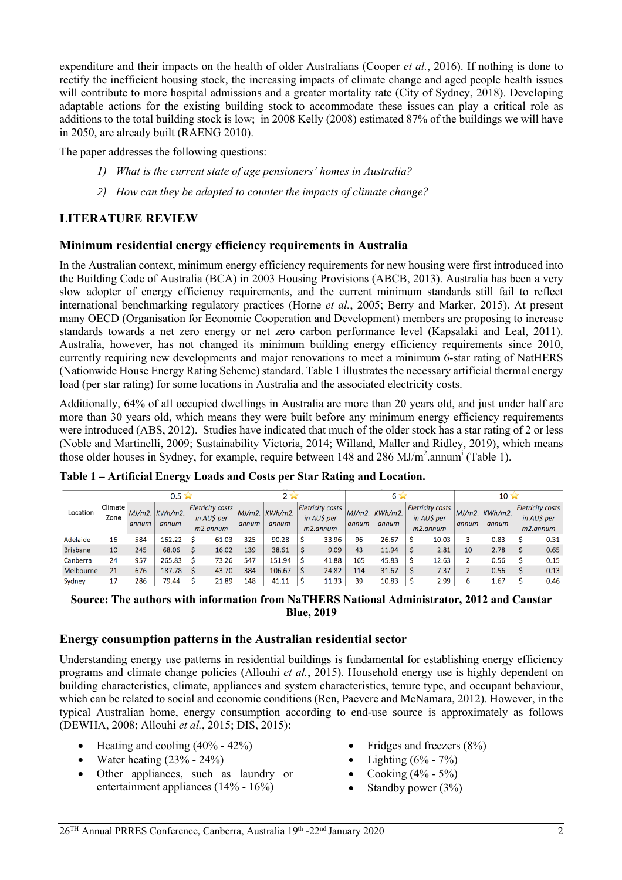expenditure and their impacts on the health of older Australians (Cooper *et al.*, 2016). If nothing is done to rectify the inefficient housing stock, the increasing impacts of climate change and aged people health issues will contribute to more hospital admissions and a greater mortality rate (City of Sydney, 2018). Developing adaptable actions for the existing building stock to accommodate these issues can play a critical role as additions to the total building stock is low; in 2008 Kelly (2008) estimated 87% of the buildings we will have in 2050, are already built (RAENG 2010).

The paper addresses the following questions:

- *1) What is the current state of age pensioners' homes in Australia?*
- *2) How can they be adapted to counter the impacts of climate change?*

### **LITERATURE REVIEW**

#### **Minimum residential energy efficiency requirements in Australia**

In the Australian context, minimum energy efficiency requirements for new housing were first introduced into the Building Code of Australia (BCA) in 2003 Housing Provisions (ABCB, 2013). Australia has been a very slow adopter of energy efficiency requirements, and the current minimum standards still fail to reflect international benchmarking regulatory practices (Horne *et al.*, 2005; Berry and Marker, 2015). At present many OECD (Organisation for Economic Cooperation and Development) members are proposing to increase standards towards a net zero energy or net zero carbon performance level (Kapsalaki and Leal, 2011). Australia, however, has not changed its minimum building energy efficiency requirements since 2010, currently requiring new developments and major renovations to meet a minimum 6-star rating of NatHERS (Nationwide House Energy Rating Scheme) standard. Table 1 illustrates the necessary artificial thermal energy load (per star rating) for some locations in Australia and the associated electricity costs.

Additionally, 64% of all occupied dwellings in Australia are more than 20 years old, and just under half are more than 30 years old, which means they were built before any minimum energy efficiency requirements were introduced (ABS, 2012). Studies have indicated that much of the older stock has a star rating of 2 or less (Noble and Martinelli, 2009; Sustainability Victoria, 2014; Willand, Maller and Ridley, 2019), which means those older houses in Sydney, for example, require between 148 and 286 MJ/ $m^2$ .annum<sup>i</sup> (Table 1).

|                 | Climate<br>Zone | $0.5 \times$ |                           |                                                      |       |       |                           |                                                      |       | 65                |                     |  |                                                      | $10 \times$ |                                                                                   |  |      |
|-----------------|-----------------|--------------|---------------------------|------------------------------------------------------|-------|-------|---------------------------|------------------------------------------------------|-------|-------------------|---------------------|--|------------------------------------------------------|-------------|-----------------------------------------------------------------------------------|--|------|
| Location        |                 | annum        | $MJ/m2.$ KWh/m2.<br>annum | <b>Eletricity costs</b><br>in AUS per<br>$m2$ .annum |       | annum | $MJ/m2.$ KWh/m2.<br>annum | <b>Eletricity costs</b><br>in AUS per<br>$m2.$ annum |       | $M/m2$ .<br>annum | $KWh/m2$ .<br>annum |  | <b>Eletricity costs</b><br>in AUS per<br>$m2$ .annum | annum       | <b>Eletricity costs</b><br>$MJ/m2.$ KWh/m2.<br>in AUS per<br>annum<br>$m2$ .annum |  |      |
| Adelaide        | 16              | 584          | 162.22                    |                                                      | 61.03 | 325   | 90.28                     |                                                      | 33.96 | 96                | 26.67               |  | 10.03                                                | 3           | 0.83                                                                              |  | 0.31 |
| <b>Brisbane</b> | 10 <sup>°</sup> | 245          | 68.06                     |                                                      | 16.02 | 139   | 38.61                     |                                                      | 9.09  | 43                | 11.94               |  | 2.81                                                 | 10          | 2.78                                                                              |  | 0.65 |
| Canberra        | 24              | 957          | 265.83                    |                                                      | 73.26 | 547   | 151.94                    |                                                      | 41.88 | 165               | 45.83               |  | 12.63                                                |             | 0.56                                                                              |  | 0.15 |
| Melbourne       | 21              | 676          | 187.78                    |                                                      | 43.70 | 384   | 106.67                    |                                                      | 24.82 | 114               | 31.67               |  | 7.37                                                 |             | 0.56                                                                              |  | 0.13 |
| Sydney          | 17              | 286          | 79.44                     | c                                                    | 21.89 | 148   | 41.11                     |                                                      | 11.33 | 39                | 10.83               |  | 2.99                                                 | ь           | $\pm 67$                                                                          |  | 0.46 |

**Table 1 – Artificial Energy Loads and Costs per Star Rating and Location.**

#### **Source: The authors with information from NaTHERS National Administrator, 2012 and Canstar Blue, 2019**

#### **Energy consumption patterns in the Australian residential sector**

Understanding energy use patterns in residential buildings is fundamental for establishing energy efficiency programs and climate change policies (Allouhi *et al.*, 2015). Household energy use is highly dependent on building characteristics, climate, appliances and system characteristics, tenure type, and occupant behaviour, which can be related to social and economic conditions (Ren, Paevere and McNamara, 2012). However, in the typical Australian home, energy consumption according to end-use source is approximately as follows (DEWHA, 2008; Allouhi *et al.*, 2015; DIS, 2015):

- Heating and cooling  $(40\% 42\%)$
- Water heating  $(23% 24%)$
- Other appliances, such as laundry or entertainment appliances (14% - 16%)
- Fridges and freezers (8%)
- Lighting  $(6\% 7\%)$
- Cooking (4% 5%)
- Standby power  $(3%)$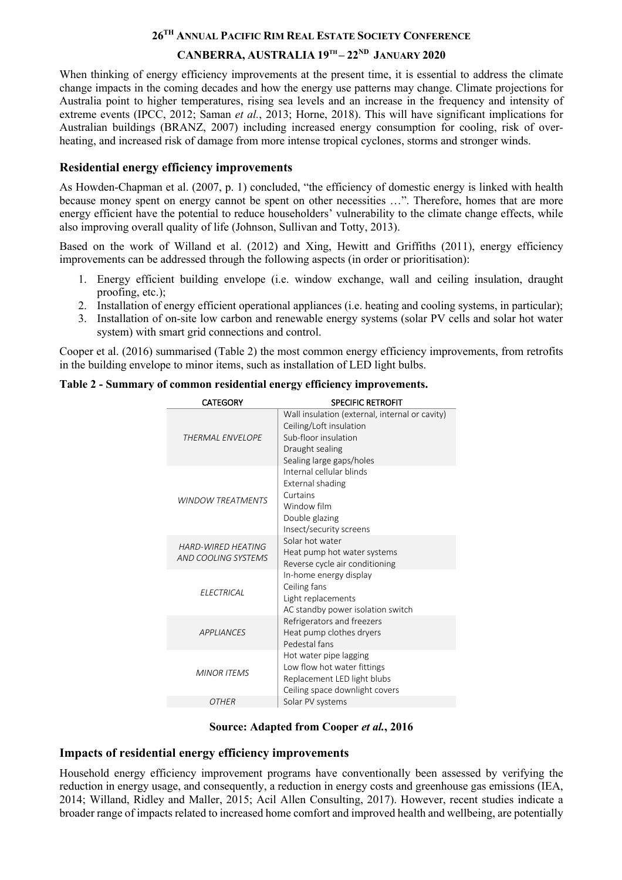## **26TH ANNUAL PACIFIC RIM REAL ESTATE SOCIETY CONFERENCE CANBERRA, AUSTRALIA 19TH – 22ND JANUARY 2020**

When thinking of energy efficiency improvements at the present time, it is essential to address the climate change impacts in the coming decades and how the energy use patterns may change. Climate projections for Australia point to higher temperatures, rising sea levels and an increase in the frequency and intensity of extreme events (IPCC, 2012; Saman *et al.*, 2013; Horne, 2018). This will have significant implications for Australian buildings (BRANZ, 2007) including increased energy consumption for cooling, risk of overheating, and increased risk of damage from more intense tropical cyclones, storms and stronger winds.

### **Residential energy efficiency improvements**

As Howden-Chapman et al. (2007, p. 1) concluded, "the efficiency of domestic energy is linked with health because money spent on energy cannot be spent on other necessities …". Therefore, homes that are more energy efficient have the potential to reduce householders' vulnerability to the climate change effects, while also improving overall quality of life (Johnson, Sullivan and Totty, 2013).

Based on the work of Willand et al. (2012) and Xing, Hewitt and Griffiths (2011), energy efficiency improvements can be addressed through the following aspects (in order or prioritisation):

- 1. Energy efficient building envelope (i.e. window exchange, wall and ceiling insulation, draught proofing, etc.);
- 2. Installation of energy efficient operational appliances (i.e. heating and cooling systems, in particular);
- 3. Installation of on-site low carbon and renewable energy systems (solar PV cells and solar hot water system) with smart grid connections and control.

Cooper et al. (2016) summarised (Table 2) the most common energy efficiency improvements, from retrofits in the building envelope to minor items, such as installation of LED light bulbs.

|  | <b>CATEGORY</b>           | <b>SPECIFIC RETROFIT</b>                       |
|--|---------------------------|------------------------------------------------|
|  |                           | Wall insulation (external, internal or cavity) |
|  |                           | Ceiling/Loft insulation                        |
|  | <b>THERMAL ENVELOPE</b>   | Sub-floor insulation                           |
|  |                           | Draught sealing                                |
|  |                           | Sealing large gaps/holes                       |
|  |                           | Internal cellular blinds                       |
|  |                           | External shading                               |
|  | <b>WINDOW TREATMENTS</b>  | Curtains                                       |
|  |                           | Window film                                    |
|  |                           | Double glazing                                 |
|  |                           | Insect/security screens                        |
|  | <b>HARD-WIRED HEATING</b> | Solar hot water                                |
|  | AND COOLING SYSTEMS       | Heat pump hot water systems                    |
|  |                           | Reverse cycle air conditioning                 |
|  |                           | In-home energy display                         |
|  | <b>ELECTRICAL</b>         | Ceiling fans                                   |
|  |                           | Light replacements                             |
|  |                           | AC standby power isolation switch              |
|  |                           | Refrigerators and freezers                     |
|  | <b>APPLIANCES</b>         | Heat pump clothes dryers                       |
|  |                           | Pedestal fans                                  |
|  |                           | Hot water pipe lagging                         |
|  | <b>MINOR ITEMS</b>        | Low flow hot water fittings                    |
|  |                           | Replacement LED light blubs                    |
|  |                           | Ceiling space downlight covers                 |
|  | <b>OTHER</b>              | Solar PV systems                               |
|  |                           |                                                |

**Table 2 - Summary of common residential energy efficiency improvements.**

### **Source: Adapted from Cooper** *et al.***, 2016**

### **Impacts of residential energy efficiency improvements**

Household energy efficiency improvement programs have conventionally been assessed by verifying the reduction in energy usage, and consequently, a reduction in energy costs and greenhouse gas emissions (IEA, 2014; Willand, Ridley and Maller, 2015; Acil Allen Consulting, 2017). However, recent studies indicate a broader range of impacts related to increased home comfort and improved health and wellbeing, are potentially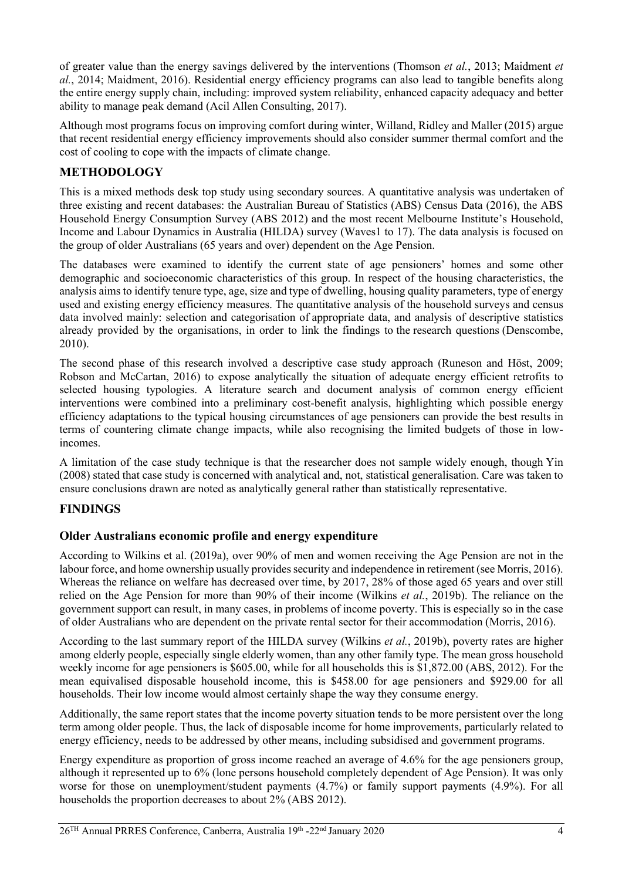of greater value than the energy savings delivered by the interventions (Thomson *et al.*, 2013; Maidment *et al.*, 2014; Maidment, 2016). Residential energy efficiency programs can also lead to tangible benefits along the entire energy supply chain, including: improved system reliability, enhanced capacity adequacy and better ability to manage peak demand (Acil Allen Consulting, 2017).

Although most programs focus on improving comfort during winter, Willand, Ridley and Maller (2015) argue that recent residential energy efficiency improvements should also consider summer thermal comfort and the cost of cooling to cope with the impacts of climate change.

# **METHODOLOGY**

This is a mixed methods desk top study using secondary sources. A quantitative analysis was undertaken of three existing and recent databases: the Australian Bureau of Statistics (ABS) Census Data (2016), the ABS Household Energy Consumption Survey (ABS 2012) and the most recent Melbourne Institute's Household, Income and Labour Dynamics in Australia (HILDA) survey (Waves1 to 17). The data analysis is focused on the group of older Australians (65 years and over) dependent on the Age Pension.

The databases were examined to identify the current state of age pensioners' homes and some other demographic and socioeconomic characteristics of this group. In respect of the housing characteristics, the analysis aims to identify tenure type, age, size and type of dwelling, housing quality parameters, type of energy used and existing energy efficiency measures. The quantitative analysis of the household surveys and census data involved mainly: selection and categorisation of appropriate data, and analysis of descriptive statistics already provided by the organisations, in order to link the findings to the research questions (Denscombe, 2010).

The second phase of this research involved a descriptive case study approach (Runeson and Höst, 2009; Robson and McCartan, 2016) to expose analytically the situation of adequate energy efficient retrofits to selected housing typologies. A literature search and document analysis of common energy efficient interventions were combined into a preliminary cost-benefit analysis, highlighting which possible energy efficiency adaptations to the typical housing circumstances of age pensioners can provide the best results in terms of countering climate change impacts, while also recognising the limited budgets of those in lowincomes.

A limitation of the case study technique is that the researcher does not sample widely enough, though Yin (2008) stated that case study is concerned with analytical and, not, statistical generalisation. Care was taken to ensure conclusions drawn are noted as analytically general rather than statistically representative.

## **FINDINGS**

## **Older Australians economic profile and energy expenditure**

According to Wilkins et al. (2019a), over 90% of men and women receiving the Age Pension are not in the labour force, and home ownership usually provides security and independence in retirement (see Morris, 2016). Whereas the reliance on welfare has decreased over time, by 2017, 28% of those aged 65 years and over still relied on the Age Pension for more than 90% of their income (Wilkins *et al.*, 2019b). The reliance on the government support can result, in many cases, in problems of income poverty. This is especially so in the case of older Australians who are dependent on the private rental sector for their accommodation (Morris, 2016).

According to the last summary report of the HILDA survey (Wilkins *et al.*, 2019b), poverty rates are higher among elderly people, especially single elderly women, than any other family type. The mean gross household weekly income for age pensioners is \$605.00, while for all households this is \$1,872.00 (ABS, 2012). For the mean equivalised disposable household income, this is \$458.00 for age pensioners and \$929.00 for all households. Their low income would almost certainly shape the way they consume energy.

Additionally, the same report states that the income poverty situation tends to be more persistent over the long term among older people. Thus, the lack of disposable income for home improvements, particularly related to energy efficiency, needs to be addressed by other means, including subsidised and government programs.

Energy expenditure as proportion of gross income reached an average of 4.6% for the age pensioners group, although it represented up to 6% (lone persons household completely dependent of Age Pension). It was only worse for those on unemployment/student payments (4.7%) or family support payments (4.9%). For all households the proportion decreases to about 2% (ABS 2012).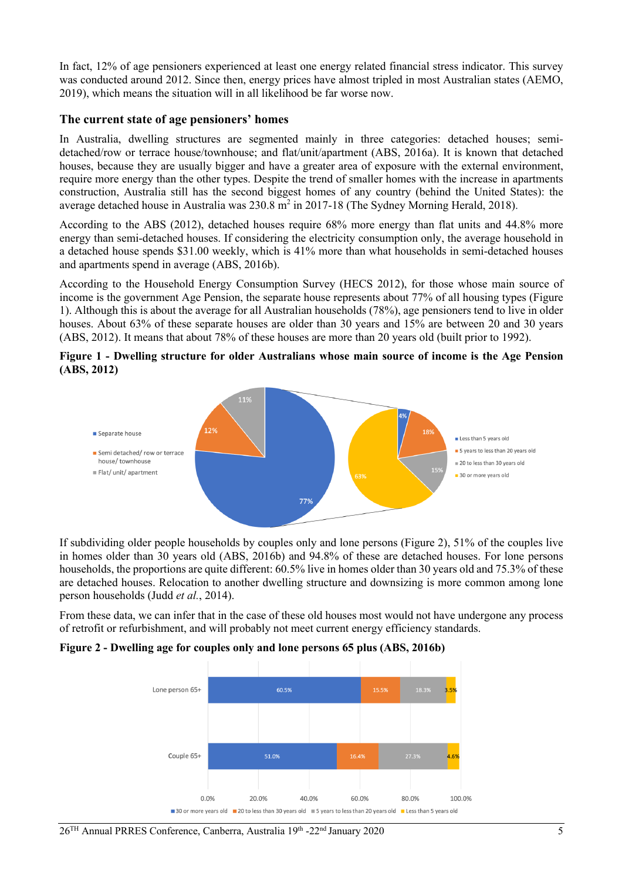In fact, 12% of age pensioners experienced at least one energy related financial stress indicator. This survey was conducted around 2012. Since then, energy prices have almost tripled in most Australian states (AEMO, 2019), which means the situation will in all likelihood be far worse now.

#### **The current state of age pensioners' homes**

In Australia, dwelling structures are segmented mainly in three categories: detached houses; semidetached/row or terrace house/townhouse; and flat/unit/apartment (ABS, 2016a). It is known that detached houses, because they are usually bigger and have a greater area of exposure with the external environment, require more energy than the other types. Despite the trend of smaller homes with the increase in apartments construction, Australia still has the second biggest homes of any country (behind the United States): the average detached house in Australia was  $230.8 \text{ m}^2$  in 2017-18 (The Sydney Morning Herald, 2018).

According to the ABS (2012), detached houses require 68% more energy than flat units and 44.8% more energy than semi-detached houses. If considering the electricity consumption only, the average household in a detached house spends \$31.00 weekly, which is 41% more than what households in semi-detached houses and apartments spend in average (ABS, 2016b).

According to the Household Energy Consumption Survey (HECS 2012), for those whose main source of income is the government Age Pension, the separate house represents about 77% of all housing types (Figure 1). Although this is about the average for all Australian households (78%), age pensioners tend to live in older houses. About 63% of these separate houses are older than 30 years and 15% are between 20 and 30 years (ABS, 2012). It means that about 78% of these houses are more than 20 years old (built prior to 1992).





If subdividing older people households by couples only and lone persons (Figure 2), 51% of the couples live in homes older than 30 years old (ABS, 2016b) and 94.8% of these are detached houses. For lone persons households, the proportions are quite different: 60.5% live in homes older than 30 years old and 75.3% of these are detached houses. Relocation to another dwelling structure and downsizing is more common among lone person households (Judd *et al.*, 2014).

From these data, we can infer that in the case of these old houses most would not have undergone any process of retrofit or refurbishment, and will probably not meet current energy efficiency standards.

#### **Figure 2 - Dwelling age for couples only and lone persons 65 plus (ABS, 2016b)**

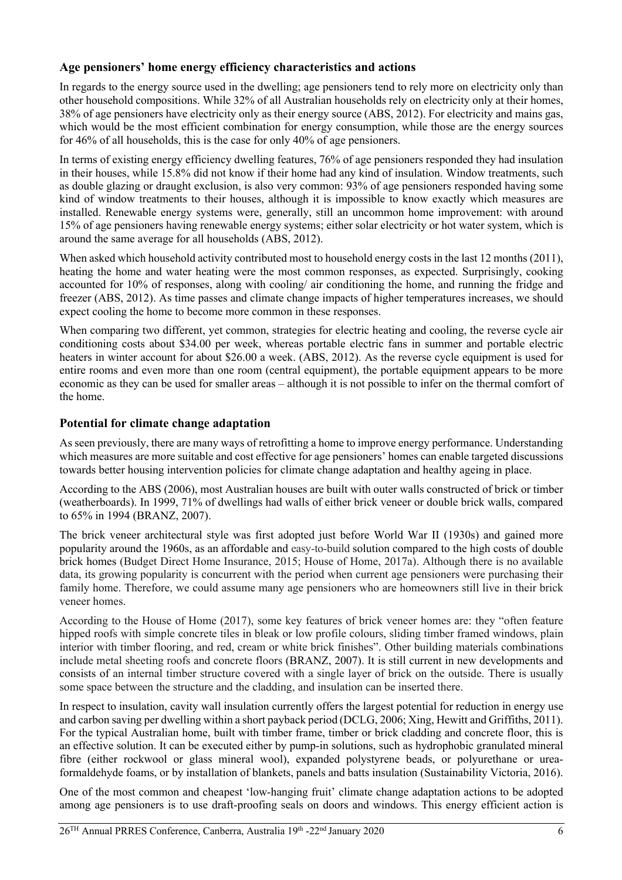### **Age pensioners' home energy efficiency characteristics and actions**

In regards to the energy source used in the dwelling; age pensioners tend to rely more on electricity only than other household compositions. While 32% of all Australian households rely on electricity only at their homes, 38% of age pensioners have electricity only as their energy source (ABS, 2012). For electricity and mains gas, which would be the most efficient combination for energy consumption, while those are the energy sources for 46% of all households, this is the case for only 40% of age pensioners.

In terms of existing energy efficiency dwelling features, 76% of age pensioners responded they had insulation in their houses, while 15.8% did not know if their home had any kind of insulation. Window treatments, such as double glazing or draught exclusion, is also very common: 93% of age pensioners responded having some kind of window treatments to their houses, although it is impossible to know exactly which measures are installed. Renewable energy systems were, generally, still an uncommon home improvement: with around 15% of age pensioners having renewable energy systems; either solar electricity or hot water system, which is around the same average for all households (ABS, 2012).

When asked which household activity contributed most to household energy costs in the last 12 months (2011), heating the home and water heating were the most common responses, as expected. Surprisingly, cooking accounted for 10% of responses, along with cooling/ air conditioning the home, and running the fridge and freezer (ABS, 2012). As time passes and climate change impacts of higher temperatures increases, we should expect cooling the home to become more common in these responses.

When comparing two different, yet common, strategies for electric heating and cooling, the reverse cycle air conditioning costs about \$34.00 per week, whereas portable electric fans in summer and portable electric heaters in winter account for about \$26.00 a week. (ABS, 2012). As the reverse cycle equipment is used for entire rooms and even more than one room (central equipment), the portable equipment appears to be more economic as they can be used for smaller areas – although it is not possible to infer on the thermal comfort of the home.

### **Potential for climate change adaptation**

As seen previously, there are many ways of retrofitting a home to improve energy performance. Understanding which measures are more suitable and cost effective for age pensioners' homes can enable targeted discussions towards better housing intervention policies for climate change adaptation and healthy ageing in place.

According to the ABS (2006), most Australian houses are built with outer walls constructed of brick or timber (weatherboards). In 1999, 71% of dwellings had walls of either brick veneer or double brick walls, compared to 65% in 1994 (BRANZ, 2007).

The brick veneer architectural style was first adopted just before World War II (1930s) and gained more popularity around the 1960s, as an affordable and easy-to-build solution compared to the high costs of double brick homes (Budget Direct Home Insurance, 2015; House of Home, 2017a). Although there is no available data, its growing popularity is concurrent with the period when current age pensioners were purchasing their family home. Therefore, we could assume many age pensioners who are homeowners still live in their brick veneer homes.

According to the House of Home (2017), some key features of brick veneer homes are: they "often feature hipped roofs with simple concrete tiles in bleak or low profile colours, sliding timber framed windows, plain interior with timber flooring, and red, cream or white brick finishes". Other building materials combinations include metal sheeting roofs and concrete floors (BRANZ, 2007). It is still current in new developments and consists of an internal timber structure covered with a single layer of brick on the outside. There is usually some space between the structure and the cladding, and insulation can be inserted there.

In respect to insulation, cavity wall insulation currently offers the largest potential for reduction in energy use and carbon saving per dwelling within a short payback period (DCLG, 2006; Xing, Hewitt and Griffiths, 2011). For the typical Australian home, built with timber frame, timber or brick cladding and concrete floor, this is an effective solution. It can be executed either by pump-in solutions, such as hydrophobic granulated mineral fibre (either rockwool or glass mineral wool), expanded polystyrene beads, or polyurethane or ureaformaldehyde foams, or by installation of blankets, panels and batts insulation (Sustainability Victoria, 2016).

One of the most common and cheapest 'low-hanging fruit' climate change adaptation actions to be adopted among age pensioners is to use draft-proofing seals on doors and windows. This energy efficient action is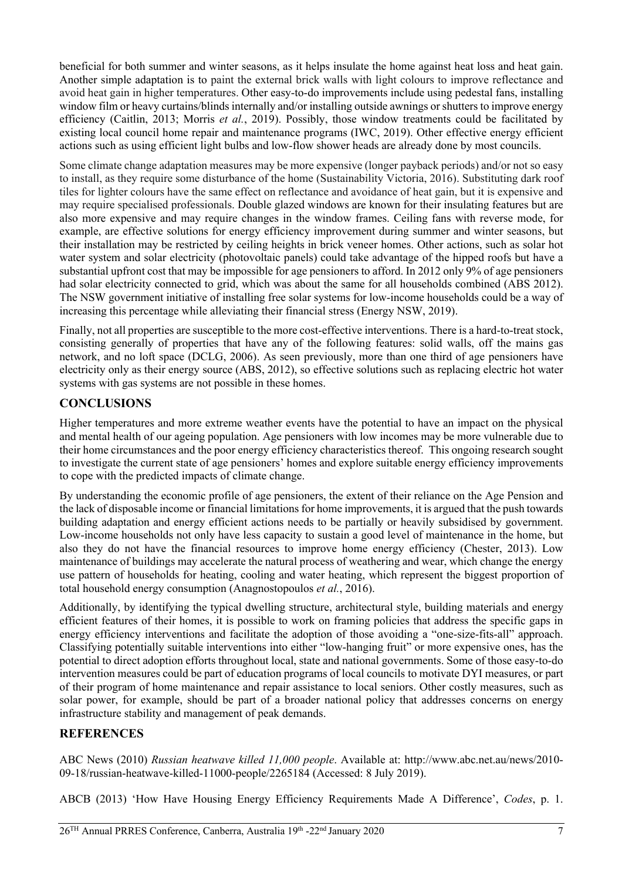beneficial for both summer and winter seasons, as it helps insulate the home against heat loss and heat gain. Another simple adaptation is to paint the external brick walls with light colours to improve reflectance and avoid heat gain in higher temperatures. Other easy-to-do improvements include using pedestal fans, installing window film or heavy curtains/blinds internally and/or installing outside awnings or shutters to improve energy efficiency (Caitlin, 2013; Morris *et al.*, 2019). Possibly, those window treatments could be facilitated by existing local council home repair and maintenance programs (IWC, 2019). Other effective energy efficient actions such as using efficient light bulbs and low-flow shower heads are already done by most councils.

Some climate change adaptation measures may be more expensive (longer payback periods) and/or not so easy to install, as they require some disturbance of the home (Sustainability Victoria, 2016). Substituting dark roof tiles for lighter colours have the same effect on reflectance and avoidance of heat gain, but it is expensive and may require specialised professionals. Double glazed windows are known for their insulating features but are also more expensive and may require changes in the window frames. Ceiling fans with reverse mode, for example, are effective solutions for energy efficiency improvement during summer and winter seasons, but their installation may be restricted by ceiling heights in brick veneer homes. Other actions, such as solar hot water system and solar electricity (photovoltaic panels) could take advantage of the hipped roofs but have a substantial upfront cost that may be impossible for age pensioners to afford. In 2012 only 9% of age pensioners had solar electricity connected to grid, which was about the same for all households combined (ABS 2012). The NSW government initiative of installing free solar systems for low-income households could be a way of increasing this percentage while alleviating their financial stress (Energy NSW, 2019).

Finally, not all properties are susceptible to the more cost-effective interventions. There is a hard-to-treat stock, consisting generally of properties that have any of the following features: solid walls, off the mains gas network, and no loft space (DCLG, 2006). As seen previously, more than one third of age pensioners have electricity only as their energy source (ABS, 2012), so effective solutions such as replacing electric hot water systems with gas systems are not possible in these homes.

# **CONCLUSIONS**

Higher temperatures and more extreme weather events have the potential to have an impact on the physical and mental health of our ageing population. Age pensioners with low incomes may be more vulnerable due to their home circumstances and the poor energy efficiency characteristics thereof. This ongoing research sought to investigate the current state of age pensioners' homes and explore suitable energy efficiency improvements to cope with the predicted impacts of climate change.

By understanding the economic profile of age pensioners, the extent of their reliance on the Age Pension and the lack of disposable income or financial limitations for home improvements, it is argued that the push towards building adaptation and energy efficient actions needs to be partially or heavily subsidised by government. Low-income households not only have less capacity to sustain a good level of maintenance in the home, but also they do not have the financial resources to improve home energy efficiency (Chester, 2013). Low maintenance of buildings may accelerate the natural process of weathering and wear, which change the energy use pattern of households for heating, cooling and water heating, which represent the biggest proportion of total household energy consumption (Anagnostopoulos *et al.*, 2016).

Additionally, by identifying the typical dwelling structure, architectural style, building materials and energy efficient features of their homes, it is possible to work on framing policies that address the specific gaps in energy efficiency interventions and facilitate the adoption of those avoiding a "one-size-fits-all" approach. Classifying potentially suitable interventions into either "low-hanging fruit" or more expensive ones, has the potential to direct adoption efforts throughout local, state and national governments. Some of those easy-to-do intervention measures could be part of education programs of local councils to motivate DYI measures, or part of their program of home maintenance and repair assistance to local seniors. Other costly measures, such as solar power, for example, should be part of a broader national policy that addresses concerns on energy infrastructure stability and management of peak demands.

## **REFERENCES**

ABC News (2010) *Russian heatwave killed 11,000 people*. Available at: http://www.abc.net.au/news/2010- 09-18/russian-heatwave-killed-11000-people/2265184 (Accessed: 8 July 2019).

ABCB (2013) 'How Have Housing Energy Efficiency Requirements Made A Difference', *Codes*, p. 1.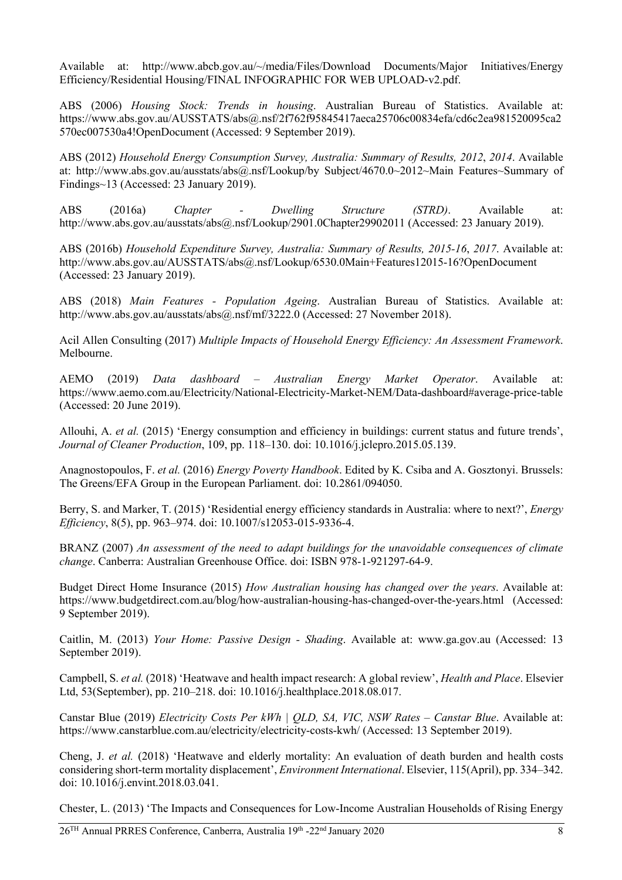Available at: http://www.abcb.gov.au/~/media/Files/Download Documents/Major Initiatives/Energy Efficiency/Residential Housing/FINAL INFOGRAPHIC FOR WEB UPLOAD-v2.pdf.

ABS (2006) *Housing Stock: Trends in housing*. Australian Bureau of Statistics. Available at: https://www.abs.gov.au/AUSSTATS/abs@.nsf/2f762f95845417aeca25706c00834efa/cd6c2ea981520095ca2 570ec007530a4!OpenDocument (Accessed: 9 September 2019).

ABS (2012) *Household Energy Consumption Survey, Australia: Summary of Results, 2012*, *2014*. Available at: http://www.abs.gov.au/ausstats/abs@.nsf/Lookup/by Subject/4670.0~2012~Main Features~Summary of Findings~13 (Accessed: 23 January 2019).

ABS (2016a) *Chapter - Dwelling Structure (STRD)*. Available at: http://www.abs.gov.au/ausstats/abs@.nsf/Lookup/2901.0Chapter29902011 (Accessed: 23 January 2019).

ABS (2016b) *Household Expenditure Survey, Australia: Summary of Results, 2015-16*, *2017*. Available at: http://www.abs.gov.au/AUSSTATS/abs@.nsf/Lookup/6530.0Main+Features12015-16?OpenDocument (Accessed: 23 January 2019).

ABS (2018) *Main Features - Population Ageing*. Australian Bureau of Statistics. Available at: http://www.abs.gov.au/ausstats/abs@.nsf/mf/3222.0 (Accessed: 27 November 2018).

Acil Allen Consulting (2017) *Multiple Impacts of Household Energy Efficiency: An Assessment Framework*. Melbourne.

AEMO (2019) *Data dashboard – Australian Energy Market Operator*. Available at: https://www.aemo.com.au/Electricity/National-Electricity-Market-NEM/Data-dashboard#average-price-table (Accessed: 20 June 2019).

Allouhi, A. *et al.* (2015) 'Energy consumption and efficiency in buildings: current status and future trends', *Journal of Cleaner Production*, 109, pp. 118–130. doi: 10.1016/j.jclepro.2015.05.139.

Anagnostopoulos, F. *et al.* (2016) *Energy Poverty Handbook*. Edited by K. Csiba and A. Gosztonyi. Brussels: The Greens/EFA Group in the European Parliament. doi: 10.2861/094050.

Berry, S. and Marker, T. (2015) 'Residential energy efficiency standards in Australia: where to next?', *Energy Efficiency*, 8(5), pp. 963–974. doi: 10.1007/s12053-015-9336-4.

BRANZ (2007) *An assessment of the need to adapt buildings for the unavoidable consequences of climate change*. Canberra: Australian Greenhouse Office. doi: ISBN 978-1-921297-64-9.

Budget Direct Home Insurance (2015) *How Australian housing has changed over the years*. Available at: https://www.budgetdirect.com.au/blog/how-australian-housing-has-changed-over-the-years.html (Accessed: 9 September 2019).

Caitlin, M. (2013) *Your Home: Passive Design - Shading*. Available at: www.ga.gov.au (Accessed: 13 September 2019).

Campbell, S. *et al.* (2018) 'Heatwave and health impact research: A global review', *Health and Place*. Elsevier Ltd, 53(September), pp. 210–218. doi: 10.1016/j.healthplace.2018.08.017.

Canstar Blue (2019) *Electricity Costs Per kWh | QLD, SA, VIC, NSW Rates – Canstar Blue*. Available at: https://www.canstarblue.com.au/electricity/electricity-costs-kwh/ (Accessed: 13 September 2019).

Cheng, J. *et al.* (2018) 'Heatwave and elderly mortality: An evaluation of death burden and health costs considering short-term mortality displacement', *Environment International*. Elsevier, 115(April), pp. 334–342. doi: 10.1016/j.envint.2018.03.041.

Chester, L. (2013) 'The Impacts and Consequences for Low-Income Australian Households of Rising Energy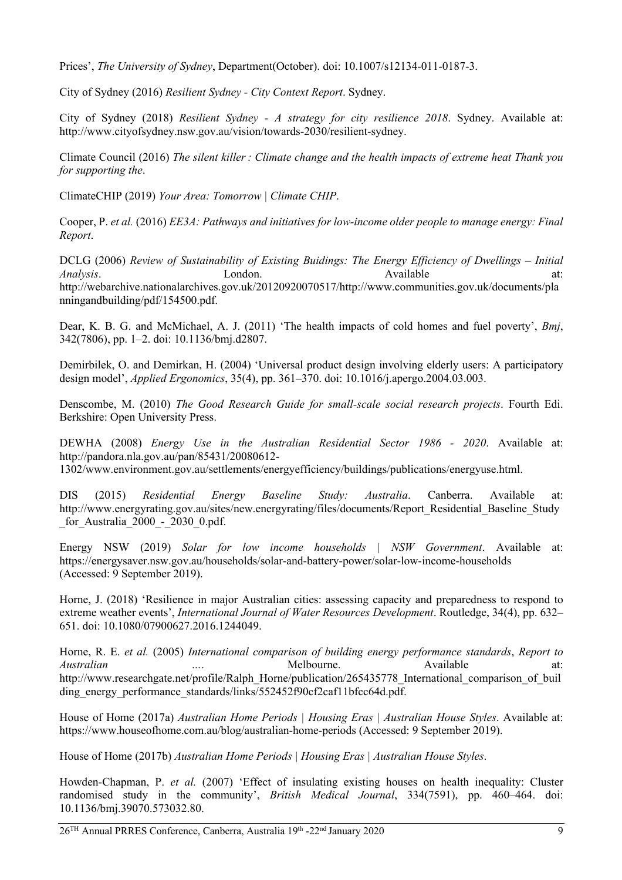Prices', *The University of Sydney*, Department(October). doi: 10.1007/s12134-011-0187-3.

City of Sydney (2016) *Resilient Sydney - City Context Report*. Sydney.

City of Sydney (2018) *Resilient Sydney - A strategy for city resilience 2018*. Sydney. Available at: http://www.cityofsydney.nsw.gov.au/vision/towards-2030/resilient-sydney.

Climate Council (2016) *The silent killer : Climate change and the health impacts of extreme heat Thank you for supporting the*.

ClimateCHIP (2019) *Your Area: Tomorrow | Climate CHIP*.

Cooper, P. *et al.* (2016) *EE3A: Pathways and initiatives for low-income older people to manage energy: Final Report*.

DCLG (2006) *Review of Sustainability of Existing Buidings: The Energy Efficiency of Dwellings – Initial Analysis*. London. London. Available at: http://webarchive.nationalarchives.gov.uk/20120920070517/http://www.communities.gov.uk/documents/pla nningandbuilding/pdf/154500.pdf.

Dear, K. B. G. and McMichael, A. J. (2011) 'The health impacts of cold homes and fuel poverty', *Bmj*, 342(7806), pp. 1–2. doi: 10.1136/bmj.d2807.

Demirbilek, O. and Demirkan, H. (2004) 'Universal product design involving elderly users: A participatory design model', *Applied Ergonomics*, 35(4), pp. 361–370. doi: 10.1016/j.apergo.2004.03.003.

Denscombe, M. (2010) *The Good Research Guide for small-scale social research projects*. Fourth Edi. Berkshire: Open University Press.

DEWHA (2008) *Energy Use in the Australian Residential Sector 1986 - 2020*. Available at: http://pandora.nla.gov.au/pan/85431/20080612-

1302/www.environment.gov.au/settlements/energyefficiency/buildings/publications/energyuse.html.

DIS (2015) *Residential Energy Baseline Study: Australia*. Canberra. Available at: http://www.energyrating.gov.au/sites/new.energyrating/files/documents/Report\_Residential\_Baseline\_Study \_for\_Australia\_2000\_-\_2030\_0.pdf.

Energy NSW (2019) *Solar for low income households | NSW Government*. Available at: https://energysaver.nsw.gov.au/households/solar-and-battery-power/solar-low-income-households (Accessed: 9 September 2019).

Horne, J. (2018) 'Resilience in major Australian cities: assessing capacity and preparedness to respond to extreme weather events', *International Journal of Water Resources Development*. Routledge, 34(4), pp. 632– 651. doi: 10.1080/07900627.2016.1244049.

Horne, R. E. *et al.* (2005) *International comparison of building energy performance standards*, *Report to Australian* …. Melbourne. Available at: http://www.researchgate.net/profile/Ralph\_Horne/publication/265435778\_International\_comparison\_of\_buil ding\_energy\_performance\_standards/links/552452f90cf2caf11bfcc64d.pdf.

House of Home (2017a) *Australian Home Periods | Housing Eras | Australian House Styles*. Available at: https://www.houseofhome.com.au/blog/australian-home-periods (Accessed: 9 September 2019).

House of Home (2017b) *Australian Home Periods | Housing Eras | Australian House Styles*.

Howden-Chapman, P. *et al.* (2007) 'Effect of insulating existing houses on health inequality: Cluster randomised study in the community', *British Medical Journal*, 334(7591), pp. 460–464. doi: 10.1136/bmj.39070.573032.80.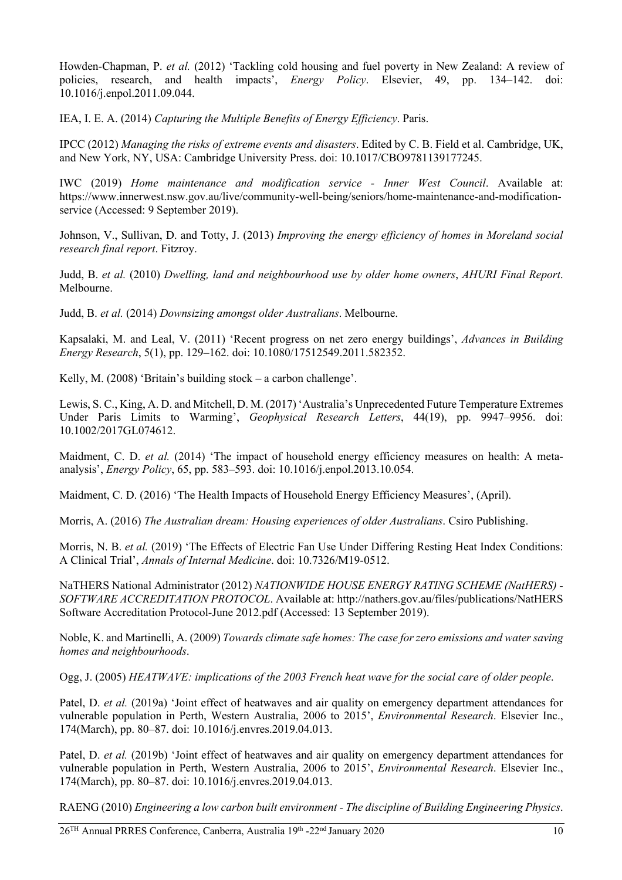Howden-Chapman, P. *et al.* (2012) 'Tackling cold housing and fuel poverty in New Zealand: A review of policies, research, and health impacts', *Energy Policy*. Elsevier, 49, pp. 134–142. doi: 10.1016/j.enpol.2011.09.044.

IEA, I. E. A. (2014) *Capturing the Multiple Benefits of Energy Efficiency*. Paris.

IPCC (2012) *Managing the risks of extreme events and disasters*. Edited by C. B. Field et al. Cambridge, UK, and New York, NY, USA: Cambridge University Press. doi: 10.1017/CBO9781139177245.

IWC (2019) *Home maintenance and modification service - Inner West Council*. Available at: https://www.innerwest.nsw.gov.au/live/community-well-being/seniors/home-maintenance-and-modificationservice (Accessed: 9 September 2019).

Johnson, V., Sullivan, D. and Totty, J. (2013) *Improving the energy efficiency of homes in Moreland social research final report*. Fitzroy.

Judd, B. *et al.* (2010) *Dwelling, land and neighbourhood use by older home owners*, *AHURI Final Report*. Melbourne.

Judd, B. *et al.* (2014) *Downsizing amongst older Australians*. Melbourne.

Kapsalaki, M. and Leal, V. (2011) 'Recent progress on net zero energy buildings', *Advances in Building Energy Research*, 5(1), pp. 129–162. doi: 10.1080/17512549.2011.582352.

Kelly, M. (2008) 'Britain's building stock – a carbon challenge'.

Lewis, S. C., King, A. D. and Mitchell, D. M. (2017) 'Australia's Unprecedented Future Temperature Extremes Under Paris Limits to Warming', *Geophysical Research Letters*, 44(19), pp. 9947–9956. doi: 10.1002/2017GL074612.

Maidment, C. D. *et al.* (2014) 'The impact of household energy efficiency measures on health: A metaanalysis', *Energy Policy*, 65, pp. 583–593. doi: 10.1016/j.enpol.2013.10.054.

Maidment, C. D. (2016) 'The Health Impacts of Household Energy Efficiency Measures', (April).

Morris, A. (2016) *The Australian dream: Housing experiences of older Australians*. Csiro Publishing.

Morris, N. B. *et al.* (2019) 'The Effects of Electric Fan Use Under Differing Resting Heat Index Conditions: A Clinical Trial', *Annals of Internal Medicine*. doi: 10.7326/M19-0512.

NaTHERS National Administrator (2012) *NATIONWIDE HOUSE ENERGY RATING SCHEME (NatHERS) - SOFTWARE ACCREDITATION PROTOCOL*. Available at: http://nathers.gov.au/files/publications/NatHERS Software Accreditation Protocol-June 2012.pdf (Accessed: 13 September 2019).

Noble, K. and Martinelli, A. (2009) *Towards climate safe homes: The case for zero emissions and water saving homes and neighbourhoods*.

Ogg, J. (2005) *HEATWAVE: implications of the 2003 French heat wave for the social care of older people*.

Patel, D. *et al.* (2019a) 'Joint effect of heatwaves and air quality on emergency department attendances for vulnerable population in Perth, Western Australia, 2006 to 2015', *Environmental Research*. Elsevier Inc., 174(March), pp. 80–87. doi: 10.1016/j.envres.2019.04.013.

Patel, D. *et al.* (2019b) 'Joint effect of heatwaves and air quality on emergency department attendances for vulnerable population in Perth, Western Australia, 2006 to 2015', *Environmental Research*. Elsevier Inc., 174(March), pp. 80–87. doi: 10.1016/j.envres.2019.04.013.

RAENG (2010) *Engineering a low carbon built environment - The discipline of Building Engineering Physics*.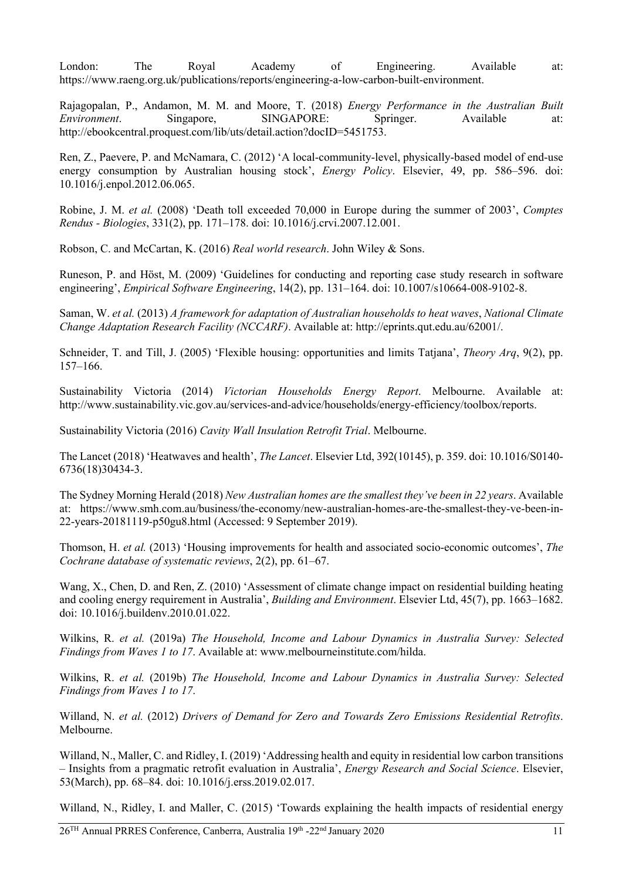London: The Royal Academy of Engineering. Available at: https://www.raeng.org.uk/publications/reports/engineering-a-low-carbon-built-environment.

Rajagopalan, P., Andamon, M. M. and Moore, T. (2018) *Energy Performance in the Australian Built Environment*. Singapore, SINGAPORE: Springer. Available at: http://ebookcentral.proquest.com/lib/uts/detail.action?docID=5451753.

Ren, Z., Paevere, P. and McNamara, C. (2012) 'A local-community-level, physically-based model of end-use energy consumption by Australian housing stock', *Energy Policy*. Elsevier, 49, pp. 586–596. doi: 10.1016/j.enpol.2012.06.065.

Robine, J. M. *et al.* (2008) 'Death toll exceeded 70,000 in Europe during the summer of 2003', *Comptes Rendus - Biologies*, 331(2), pp. 171–178. doi: 10.1016/j.crvi.2007.12.001.

Robson, C. and McCartan, K. (2016) *Real world research*. John Wiley & Sons.

Runeson, P. and Höst, M. (2009) 'Guidelines for conducting and reporting case study research in software engineering', *Empirical Software Engineering*, 14(2), pp. 131–164. doi: 10.1007/s10664-008-9102-8.

Saman, W. *et al.* (2013) *A framework for adaptation of Australian households to heat waves*, *National Climate Change Adaptation Research Facility (NCCARF)*. Available at: http://eprints.qut.edu.au/62001/.

Schneider, T. and Till, J. (2005) 'Flexible housing: opportunities and limits Tatjana', *Theory Arq*, 9(2), pp. 157–166.

Sustainability Victoria (2014) *Victorian Households Energy Report*. Melbourne. Available at: http://www.sustainability.vic.gov.au/services-and-advice/households/energy-efficiency/toolbox/reports.

Sustainability Victoria (2016) *Cavity Wall Insulation Retrofit Trial*. Melbourne.

The Lancet (2018) 'Heatwaves and health', *The Lancet*. Elsevier Ltd, 392(10145), p. 359. doi: 10.1016/S0140- 6736(18)30434-3.

The Sydney Morning Herald (2018) *New Australian homes are the smallest they've been in 22 years*. Available at: https://www.smh.com.au/business/the-economy/new-australian-homes-are-the-smallest-they-ve-been-in-22-years-20181119-p50gu8.html (Accessed: 9 September 2019).

Thomson, H. *et al.* (2013) 'Housing improvements for health and associated socio-economic outcomes', *The Cochrane database of systematic reviews*, 2(2), pp. 61–67.

Wang, X., Chen, D. and Ren, Z. (2010) 'Assessment of climate change impact on residential building heating and cooling energy requirement in Australia', *Building and Environment*. Elsevier Ltd, 45(7), pp. 1663–1682. doi: 10.1016/j.buildenv.2010.01.022.

Wilkins, R. *et al.* (2019a) *The Household, Income and Labour Dynamics in Australia Survey: Selected Findings from Waves 1 to 17*. Available at: www.melbourneinstitute.com/hilda.

Wilkins, R. *et al.* (2019b) *The Household, Income and Labour Dynamics in Australia Survey: Selected Findings from Waves 1 to 17*.

Willand, N. *et al.* (2012) *Drivers of Demand for Zero and Towards Zero Emissions Residential Retrofits*. Melbourne.

Willand, N., Maller, C. and Ridley, I. (2019) 'Addressing health and equity in residential low carbon transitions – Insights from a pragmatic retrofit evaluation in Australia', *Energy Research and Social Science*. Elsevier, 53(March), pp. 68–84. doi: 10.1016/j.erss.2019.02.017.

Willand, N., Ridley, I. and Maller, C. (2015) 'Towards explaining the health impacts of residential energy